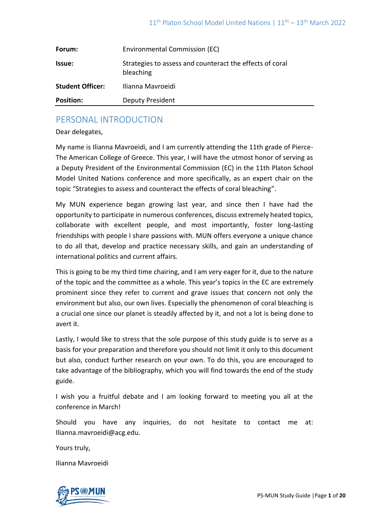| Forum:                  | Environmental Commission (EC)                                         |
|-------------------------|-----------------------------------------------------------------------|
| Issue:                  | Strategies to assess and counteract the effects of coral<br>bleaching |
| <b>Student Officer:</b> | Ilianna Mavroeidi                                                     |
| <b>Position:</b>        | Deputy President                                                      |

# PERSONAL INTRODUCTION

Dear delegates,

My name is Ilianna Mavroeidi, and I am currently attending the 11th grade of Pierce-The American College of Greece. This year, I will have the utmost honor of serving as a Deputy President of the Environmental Commission (EC) in the 11th Platon School Model United Nations conference and more specifically, as an expert chair on the topic "Strategies to assess and counteract the effects of coral bleaching".

My MUN experience began growing last year, and since then I have had the opportunity to participate in numerous conferences, discuss extremely heated topics, collaborate with excellent people, and most importantly, foster long-lasting friendships with people I share passions with. MUN offers everyone a unique chance to do all that, develop and practice necessary skills, and gain an understanding of international politics and current affairs.

This is going to be my third time chairing, and I am very eager for it, due to the nature of the topic and the committee as a whole. This year's topics in the EC are extremely prominent since they refer to current and grave issues that concern not only the environment but also, our own lives. Especially the phenomenon of coral bleaching is a crucial one since our planet is steadily affected by it, and not a lot is being done to avert it.

Lastly, I would like to stress that the sole purpose of this study guide is to serve as a basis for your preparation and therefore you should not limit it only to this document but also, conduct further research on your own. To do this, you are encouraged to take advantage of the bibliography, which you will find towards the end of the study guide.

I wish you a fruitful debate and I am looking forward to meeting you all at the conference in March!

Should you have any inquiries, do not hesitate to contact me at: Ilianna.mavroeidi@acg.edu.

Yours truly,

Ilianna Mavroeidi

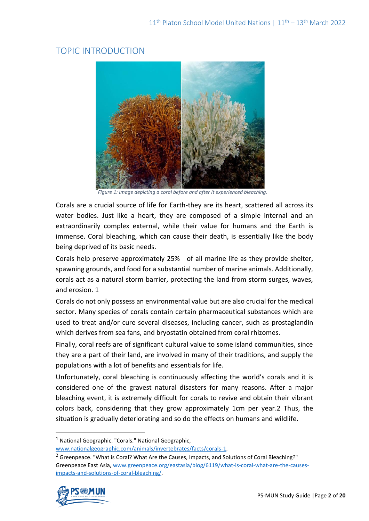# TOPIC INTRODUCTION



*Figure 1: Image depicting a coral before and after it experienced bleaching.*

Corals are a crucial source of life for Earth-they are its heart, scattered all across its water bodies. Just like a heart, they are composed of a simple internal and an extraordinarily complex external, while their value for humans and the Earth is immense. Coral bleaching, which can cause their death, is essentially like the body being deprived of its basic needs.

Corals help preserve approximately 25% of all marine life as they provide shelter, spawning grounds, and food for a substantial number of marine animals. Additionally, corals act as a natural storm barrier, protecting the land from storm surges, waves, and erosion. 1

Corals do not only possess an environmental value but are also crucial for the medical sector. Many species of corals contain certain pharmaceutical substances which are used to treat and/or cure several diseases, including cancer, such as prostaglandin which derives from sea fans, and bryostatin obtained from coral rhizomes.

Finally, coral reefs are of significant cultural value to some island communities, since they are a part of their land, are involved in many of their traditions, and supply the populations with a lot of benefits and essentials for life.

Unfortunately, coral bleaching is continuously affecting the world's corals and it is considered one of the gravest natural disasters for many reasons. After a major bleaching event, it is extremely difficult for corals to revive and obtain their vibrant colors back, considering that they grow approximately 1cm per year.2 Thus, the situation is gradually deteriorating and so do the effects on humans and wildlife.

<sup>&</sup>lt;sup>2</sup> Greenpeace. "What is Coral? What Are the Causes, Impacts, and Solutions of Coral Bleaching?" Greenpeace East Asia, [www.greenpeace.org/eastasia/blog/6119/what-is-coral-what-are-the-causes](http://www.greenpeace.org/eastasia/blog/6119/what-is-coral-what-are-the-causes-impacts-and-solutions-of-coral-bleaching/)[impacts-and-solutions-of-coral-bleaching/.](http://www.greenpeace.org/eastasia/blog/6119/what-is-coral-what-are-the-causes-impacts-and-solutions-of-coral-bleaching/) 



<sup>1</sup> National Geographic. "Corals." National Geographic,

[www.nationalgeographic.com/animals/invertebrates/facts/corals-1.](http://www.nationalgeographic.com/animals/invertebrates/facts/corals-1)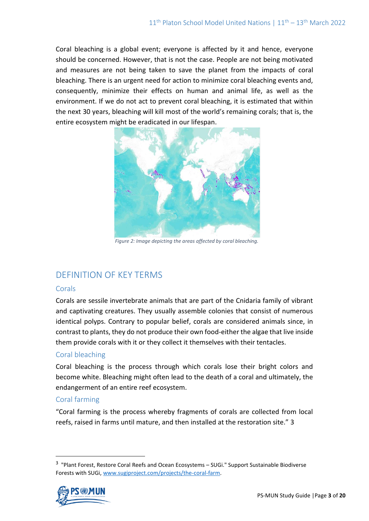Coral bleaching is a global event; everyone is affected by it and hence, everyone should be concerned. However, that is not the case. People are not being motivated and measures are not being taken to save the planet from the impacts of coral bleaching. There is an urgent need for action to minimize coral bleaching events and, consequently, minimize their effects on human and animal life, as well as the environment. If we do not act to prevent coral bleaching, it is estimated that within the next 30 years, bleaching will kill most of the world's remaining corals; that is, the entire ecosystem might be eradicated in our lifespan.



*Figure 2: Image depicting the areas affected by coral bleaching.*

# DEFINITION OF KEY TERMS

## Corals

Corals are sessile invertebrate animals that are part of the Cnidaria family of vibrant and captivating creatures. They usually assemble colonies that consist of numerous identical polyps. Contrary to popular belief, corals are considered animals since, in contrast to plants, they do not produce their own food-either the algae that live inside them provide corals with it or they collect it themselves with their tentacles.

## Coral bleaching

Coral bleaching is the process through which corals lose their bright colors and become white. Bleaching might often lead to the death of a coral and ultimately, the endangerment of an entire reef ecosystem.

## Coral farming

"Coral farming is the process whereby fragments of corals are collected from local reefs, raised in farms until mature, and then installed at the restoration site." 3

<sup>&</sup>lt;sup>3</sup> "Plant Forest, Restore Coral Reefs and Ocean Ecosystems - SUGi." Support Sustainable Biodiverse Forests with SUGi[, www.sugiproject.com/projects/the-coral-farm.](http://www.sugiproject.com/projects/the-coral-farm)

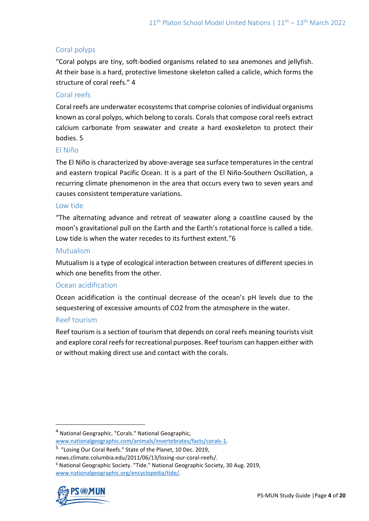## Coral polyps

"Coral polyps are tiny, soft-bodied organisms related to sea anemones and jellyfish. At their base is a hard, protective limestone skeleton called a calicle, which forms the structure of coral reefs." 4

## Coral reefs

Coral reefs are underwater ecosystems that comprise colonies of individual organisms known as coral polyps, which belong to corals. Corals that compose coral reefs extract calcium carbonate from seawater and create a hard exoskeleton to protect their bodies. 5

#### El Niño

The El Niño is characterized by above-average sea surface temperatures in the central and eastern tropical Pacific Ocean. It is a part of the El Niño-Southern Oscillation, a recurring climate phenomenon in the area that occurs every two to seven years and causes consistent temperature variations.

#### Low tide

"The alternating advance and retreat of seawater along a coastline caused by the moon's gravitational pull on the Earth and the Earth's rotational force is called a tide. Low tide is when the water recedes to its furthest extent."6

#### Mutualism

Mutualism is a type of ecological interaction between creatures of different species in which one benefits from the other.

#### Ocean acidification

Ocean acidification is the continual decrease of the ocean's pH levels due to the sequestering of excessive amounts of CO2 from the atmosphere in the water.

#### Reef tourism

Reef tourism is a section of tourism that depends on coral reefs meaning tourists visit and explore coral reefs for recreational purposes. Reef tourism can happen either with or without making direct use and contact with the corals.

<sup>6</sup> National Geographic Society. "Tide." National Geographic Society, 30 Aug. 2019, [www.nationalgeographic.org/encyclopedia/tide/.](http://www.nationalgeographic.org/encyclopedia/tide/)



<sup>4</sup> National Geographic. "Corals." National Geographic, [www.nationalgeographic.com/animals/invertebrates/facts/corals-1.](http://www.nationalgeographic.com/animals/invertebrates/facts/corals-1)

<sup>&</sup>lt;sup>5</sup> "Losing Our Coral Reefs." State of the Planet, 10 Dec. 2019,

news.climate.columbia.edu/2011/06/13/losing-our-coral-reefs/.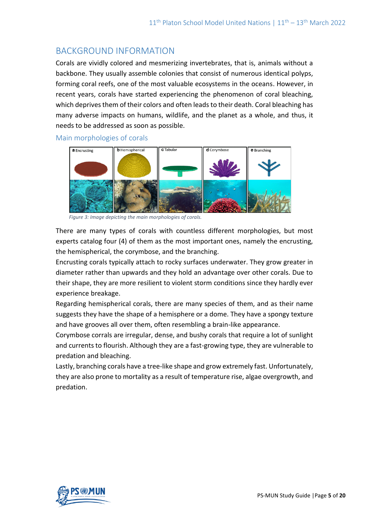# BACKGROUND INFORMATION

Corals are vividly colored and mesmerizing invertebrates, that is, animals without a backbone. They usually assemble colonies that consist of numerous identical polyps, forming coral reefs, one of the most valuable ecosystems in the oceans. However, in recent years, corals have started experiencing the phenomenon of coral bleaching, which deprives them of their colors and often leads to their death. Coral bleaching has many adverse impacts on humans, wildlife, and the planet as a whole, and thus, it needs to be addressed as soon as possible.

Main morphologies of corals



*Figure 3: Image depicting the main morphologies of corals.*

There are many types of corals with countless different morphologies, but most experts catalog four (4) of them as the most important ones, namely the encrusting, the hemispherical, the corymbose, and the branching.

Encrusting corals typically attach to rocky surfaces underwater. They grow greater in diameter rather than upwards and they hold an advantage over other corals. Due to their shape, they are more resilient to violent storm conditions since they hardly ever experience breakage.

Regarding hemispherical corals, there are many species of them, and as their name suggests they have the shape of a hemisphere or a dome. They have a spongy texture and have grooves all over them, often resembling a brain-like appearance.

Corymbose corrals are irregular, dense, and bushy corals that require a lot of sunlight and currents to flourish. Although they are a fast-growing type, they are vulnerable to predation and bleaching.

Lastly, branching corals have a tree-like shape and grow extremely fast. Unfortunately, they are also prone to mortality as a result of temperature rise, algae overgrowth, and predation.

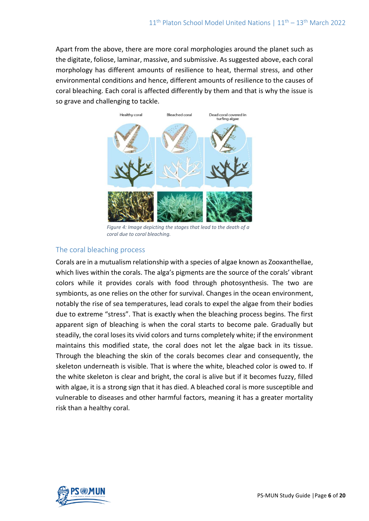Apart from the above, there are more coral morphologies around the planet such as the digitate, foliose, laminar, massive, and submissive. As suggested above, each coral morphology has different amounts of resilience to heat, thermal stress, and other environmental conditions and hence, different amounts of resilience to the causes of coral bleaching. Each coral is affected differently by them and that is why the issue is so grave and challenging to tackle.



*Figure 4: Image depicting the stages that lead to the death of a coral due to coral bleaching.*

#### The coral bleaching process

Corals are in a mutualism relationship with a species of algae known as Zooxanthellae, which lives within the corals. The alga's pigments are the source of the corals' vibrant colors while it provides corals with food through photosynthesis. The two are symbionts, as one relies on the other for survival. Changes in the ocean environment, notably the rise of sea temperatures, lead corals to expel the algae from their bodies due to extreme "stress". That is exactly when the bleaching process begins. The first apparent sign of bleaching is when the coral starts to become pale. Gradually but steadily, the coral loses its vivid colors and turns completely white; if the environment maintains this modified state, the coral does not let the algae back in its tissue. Through the bleaching the skin of the corals becomes clear and consequently, the skeleton underneath is visible. That is where the white, bleached color is owed to. If the white skeleton is clear and bright, the coral is alive but if it becomes fuzzy, filled with algae, it is a strong sign that it has died. A bleached coral is more susceptible and vulnerable to diseases and other harmful factors, meaning it has a greater mortality risk than a healthy coral.

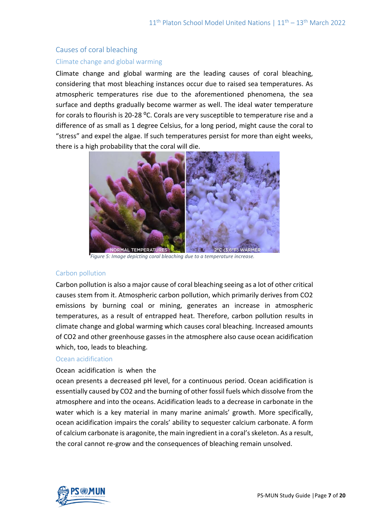## Causes of coral bleaching Climate change and global warming

Climate change and global warming are the leading causes of coral bleaching, considering that most bleaching instances occur due to raised sea temperatures. As atmospheric temperatures rise due to the aforementioned phenomena, the sea surface and depths gradually become warmer as well. The ideal water temperature for corals to flourish is 20-28 °C. Corals are very susceptible to temperature rise and a difference of as small as 1 degree Celsius, for a long period, might cause the coral to "stress" and expel the algae. If such temperatures persist for more than eight weeks, there is a high probability that the coral will die.



*Figure 5: Image depicting coral bleaching due to a temperature increase.*

#### Carbon pollution

Carbon pollution is also a major cause of coral bleaching seeing as a lot of other critical causes stem from it. Atmospheric carbon pollution, which primarily derives from CO2 emissions by burning coal or mining, generates an increase in atmospheric temperatures, as a result of entrapped heat. Therefore, carbon pollution results in climate change and global warming which causes coral bleaching. Increased amounts of CO2 and other greenhouse gasses in the atmosphere also cause ocean acidification which, too, leads to bleaching.

#### Ocean acidification

#### Ocean acidification is when the

ocean presents a decreased pH level, for a continuous period. Ocean acidification is essentially caused by CO2 and the burning of other fossil fuels which dissolve from the atmosphere and into the oceans. Acidification leads to a decrease in carbonate in the water which is a key material in many marine animals' growth. More specifically, ocean acidification impairs the corals' ability to sequester calcium carbonate. A form of calcium carbonate is aragonite, the main ingredient in a coral's skeleton. As a result, the coral cannot re-grow and the consequences of bleaching remain unsolved.

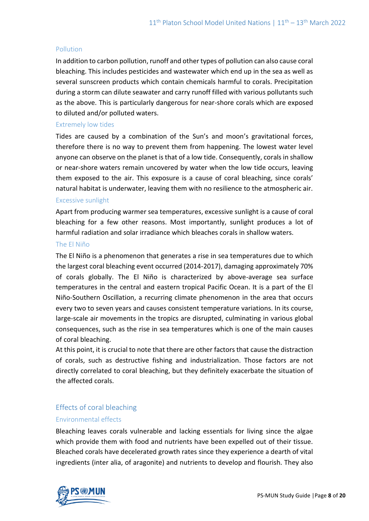#### **Pollution**

In addition to carbon pollution, runoff and other types of pollution can also cause coral bleaching. This includes pesticides and wastewater which end up in the sea as well as several sunscreen products which contain chemicals harmful to corals. Precipitation during a storm can dilute seawater and carry runoff filled with various pollutants such as the above. This is particularly dangerous for near-shore corals which are exposed to diluted and/or polluted waters.

#### Extremely low tides

Tides are caused by a combination of the Sun's and moon's gravitational forces, therefore there is no way to prevent them from happening. The lowest water level anyone can observe on the planet is that of a low tide. Consequently, corals in shallow or near-shore waters remain uncovered by water when the low tide occurs, leaving them exposed to the air. This exposure is a cause of coral bleaching, since corals' natural habitat is underwater, leaving them with no resilience to the atmospheric air.

#### Excessive sunlight

Apart from producing warmer sea temperatures, excessive sunlight is a cause of coral bleaching for a few other reasons. Most importantly, sunlight produces a lot of harmful radiation and solar irradiance which bleaches corals in shallow waters.

#### The El Niño

The El Niño is a phenomenon that generates a rise in sea temperatures due to which the largest coral bleaching event occurred (2014-2017), damaging approximately 70% of corals globally. The El Niño is characterized by above-average sea surface temperatures in the central and eastern tropical Pacific Ocean. It is a part of the El Niño-Southern Oscillation, a recurring climate phenomenon in the area that occurs every two to seven years and causes consistent temperature variations. In its course, large-scale air movements in the tropics are disrupted, culminating in various global consequences, such as the rise in sea temperatures which is one of the main causes of coral bleaching.

At this point, it is crucial to note that there are other factors that cause the distraction of corals, such as destructive fishing and industrialization. Those factors are not directly correlated to coral bleaching, but they definitely exacerbate the situation of the affected corals.

## Effects of coral bleaching

## Environmental effects

Bleaching leaves corals vulnerable and lacking essentials for living since the algae which provide them with food and nutrients have been expelled out of their tissue. Bleached corals have decelerated growth rates since they experience a dearth of vital ingredients (inter alia, of aragonite) and nutrients to develop and flourish. They also

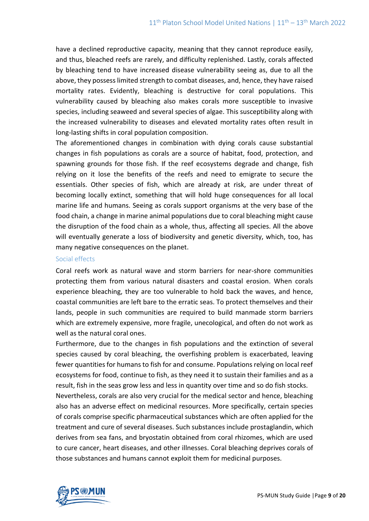have a declined reproductive capacity, meaning that they cannot reproduce easily, and thus, bleached reefs are rarely, and difficulty replenished. Lastly, corals affected by bleaching tend to have increased disease vulnerability seeing as, due to all the above, they possess limited strength to combat diseases, and, hence, they have raised mortality rates. Evidently, bleaching is destructive for coral populations. This vulnerability caused by bleaching also makes corals more susceptible to invasive species, including seaweed and several species of algae. This susceptibility along with the increased vulnerability to diseases and elevated mortality rates often result in long-lasting shifts in coral population composition.

The aforementioned changes in combination with dying corals cause substantial changes in fish populations as corals are a source of habitat, food, protection, and spawning grounds for those fish. If the reef ecosystems degrade and change, fish relying on it lose the benefits of the reefs and need to emigrate to secure the essentials. Other species of fish, which are already at risk, are under threat of becoming locally extinct, something that will hold huge consequences for all local marine life and humans. Seeing as corals support organisms at the very base of the food chain, a change in marine animal populations due to coral bleaching might cause the disruption of the food chain as a whole, thus, affecting all species. All the above will eventually generate a loss of biodiversity and genetic diversity, which, too, has many negative consequences on the planet.

#### Social effects

Coral reefs work as natural wave and storm barriers for near-shore communities protecting them from various natural disasters and coastal erosion. When corals experience bleaching, they are too vulnerable to hold back the waves, and hence, coastal communities are left bare to the erratic seas. To protect themselves and their lands, people in such communities are required to build manmade storm barriers which are extremely expensive, more fragile, unecological, and often do not work as well as the natural coral ones.

Furthermore, due to the changes in fish populations and the extinction of several species caused by coral bleaching, the overfishing problem is exacerbated, leaving fewer quantities for humans to fish for and consume. Populations relying on local reef ecosystems for food, continue to fish, as they need it to sustain their families and as a result, fish in the seas grow less and less in quantity over time and so do fish stocks. Nevertheless, corals are also very crucial for the medical sector and hence, bleaching also has an adverse effect on medicinal resources. More specifically, certain species of corals comprise specific pharmaceutical substances which are often applied for the treatment and cure of several diseases. Such substances include prostaglandin, which derives from sea fans, and bryostatin obtained from coral rhizomes, which are used to cure cancer, heart diseases, and other illnesses. Coral bleaching deprives corals of those substances and humans cannot exploit them for medicinal purposes.

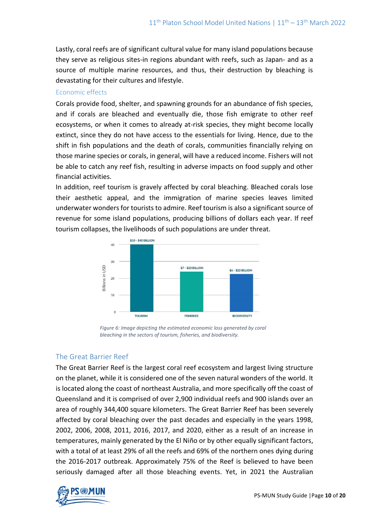Lastly, coral reefs are of significant cultural value for many island populations because they serve as religious sites-in regions abundant with reefs, such as Japan- and as a source of multiple marine resources, and thus, their destruction by bleaching is devastating for their cultures and lifestyle.

#### Economic effects

Corals provide food, shelter, and spawning grounds for an abundance of fish species, and if corals are bleached and eventually die, those fish emigrate to other reef ecosystems, or when it comes to already at-risk species, they might become locally extinct, since they do not have access to the essentials for living. Hence, due to the shift in fish populations and the death of corals, communities financially relying on those marine species or corals, in general, will have a reduced income. Fishers will not be able to catch any reef fish, resulting in adverse impacts on food supply and other financial activities.

In addition, reef tourism is gravely affected by coral bleaching. Bleached corals lose their aesthetic appeal, and the immigration of marine species leaves limited underwater wonders for tourists to admire. Reef tourism is also a significant source of revenue for some island populations, producing billions of dollars each year. If reef tourism collapses, the livelihoods of such populations are under threat.



*Figure 6: Image depicting the estimated economic loss generated by coral bleaching in the sectors of tourism, fisheries, and biodiversity.*

## The Great Barrier Reef

The Great Barrier Reef is the largest coral reef ecosystem and largest living structure on the planet, while it is considered one of the seven natural wonders of the world. It is located along the coast of northeast Australia, and more specifically off the coast of Queensland and it is comprised of over 2,900 individual reefs and 900 islands over an area of roughly 344,400 square kilometers. The Great Barrier Reef has been severely affected by coral bleaching over the past decades and especially in the years 1998, 2002, 2006, 2008, 2011, 2016, 2017, and 2020, either as a result of an increase in temperatures, mainly generated by the El Niño or by other equally significant factors, with a total of at least 29% of all the reefs and 69% of the northern ones dying during the 2016-2017 outbreak. Approximately 75% of the Reef is believed to have been seriously damaged after all those bleaching events. Yet, in 2021 the Australian

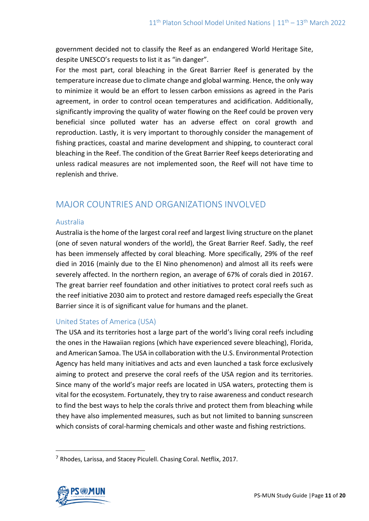government decided not to classify the Reef as an endangered World Heritage Site, despite UNESCO's requests to list it as "in danger".

For the most part, coral bleaching in the Great Barrier Reef is generated by the temperature increase due to climate change and global warming. Hence, the only way to minimize it would be an effort to lessen carbon emissions as agreed in the Paris agreement, in order to control ocean temperatures and acidification. Additionally, significantly improving the quality of water flowing on the Reef could be proven very beneficial since polluted water has an adverse effect on coral growth and reproduction. Lastly, it is very important to thoroughly consider the management of fishing practices, coastal and marine development and shipping, to counteract coral bleaching in the Reef. The condition of the Great Barrier Reef keeps deteriorating and unless radical measures are not implemented soon, the Reef will not have time to replenish and thrive.

# MAJOR COUNTRIES AND ORGANIZATIONS INVOLVED

## Australia

Australia is the home of the largest coral reef and largest living structure on the planet (one of seven natural wonders of the world), the Great Barrier Reef. Sadly, the reef has been immensely affected by coral bleaching. More specifically, 29% of the reef died in 2016 (mainly due to the El Nino phenomenon) and almost all its reefs were severely affected. In the northern region, an average of 67% of corals died in 20167. The great barrier reef foundation and other initiatives to protect coral reefs such as the reef initiative 2030 aim to protect and restore damaged reefs especially the Great Barrier since it is of significant value for humans and the planet.

## United States of America (USA)

The USA and its territories host a large part of the world's living coral reefs including the ones in the Hawaiian regions (which have experienced severe bleaching), Florida, and American Samoa. The USA in collaboration with the U.S. Environmental Protection Agency has held many initiatives and acts and even launched a task force exclusively aiming to protect and preserve the coral reefs of the USA region and its territories. Since many of the world's major reefs are located in USA waters, protecting them is vital for the ecosystem. Fortunately, they try to raise awareness and conduct research to find the best ways to help the corals thrive and protect them from bleaching while they have also implemented measures, such as but not limited to banning sunscreen which consists of coral-harming chemicals and other waste and fishing restrictions.

 $<sup>7</sup>$  Rhodes, Larissa, and Stacey Piculell. Chasing Coral. Netflix, 2017.</sup>

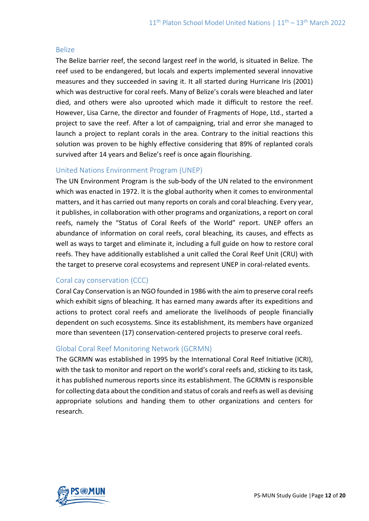#### Belize

The Belize barrier reef, the second largest reef in the world, is situated in Belize. The reef used to be endangered, but locals and experts implemented several innovative measures and they succeeded in saving it. It all started during Hurricane Iris (2001) which was destructive for coral reefs. Many of Belize's corals were bleached and later died, and others were also uprooted which made it difficult to restore the reef. However, Lisa Carne, the director and founder of Fragments of Hope, Ltd., started a project to save the reef. After a lot of campaigning, trial and error she managed to launch a project to replant corals in the area. Contrary to the initial reactions this solution was proven to be highly effective considering that 89% of replanted corals survived after 14 years and Belize's reef is once again flourishing.

## United Nations Environment Program (UNEP)

The UN Environment Program is the sub-body of the UN related to the environment which was enacted in 1972. It is the global authority when it comes to environmental matters, and it has carried out many reports on corals and coral bleaching. Every year, it publishes, in collaboration with other programs and organizations, a report on coral reefs, namely the "Status of Coral Reefs of the World" report. UNEP offers an abundance of information on coral reefs, coral bleaching, its causes, and effects as well as ways to target and eliminate it, including a full guide on how to restore coral reefs. They have additionally established a unit called the Coral Reef Unit (CRU) with the target to preserve coral ecosystems and represent UNEP in coral-related events.

## Coral cay conservation (CCC)

Coral Cay Conservation is an NGO founded in 1986 with the aim to preserve coral reefs which exhibit signs of bleaching. It has earned many awards after its expeditions and actions to protect coral reefs and ameliorate the livelihoods of people financially dependent on such ecosystems. Since its establishment, its members have organized more than seventeen (17) conservation-centered projects to preserve coral reefs.

## Global Coral Reef Monitoring Network (GCRMN)

The GCRMN was established in 1995 by the International Coral Reef Initiative (ICRI), with the task to monitor and report on the world's coral reefs and, sticking to its task, it has published numerous reports since its establishment. The GCRMN is responsible for collecting data about the condition and status of corals and reefs as well as devising appropriate solutions and handing them to other organizations and centers for research.

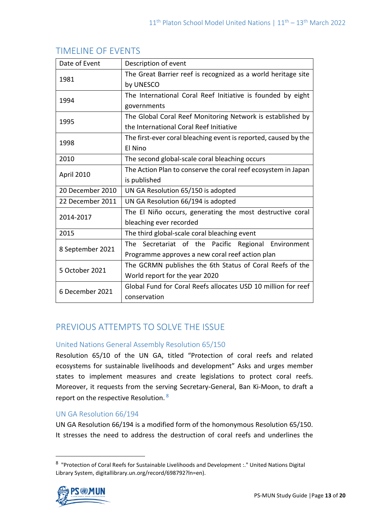| Date of Event    | Description of event                                            |
|------------------|-----------------------------------------------------------------|
| 1981             | The Great Barrier reef is recognized as a world heritage site   |
|                  | by UNESCO                                                       |
| 1994             | The International Coral Reef Initiative is founded by eight     |
|                  | governments                                                     |
| 1995             | The Global Coral Reef Monitoring Network is established by      |
|                  | the International Coral Reef Initiative                         |
| 1998             | The first-ever coral bleaching event is reported, caused by the |
|                  | El Nino                                                         |
| 2010             | The second global-scale coral bleaching occurs                  |
| April 2010       | The Action Plan to conserve the coral reef ecosystem in Japan   |
|                  | is published                                                    |
| 20 December 2010 | UN GA Resolution 65/150 is adopted                              |
| 22 December 2011 | UN GA Resolution 66/194 is adopted                              |
| 2014-2017        | The El Niño occurs, generating the most destructive coral       |
|                  | bleaching ever recorded                                         |
| 2015             | The third global-scale coral bleaching event                    |
| 8 September 2021 | The Secretariat of the Pacific Regional Environment             |
|                  | Programme approves a new coral reef action plan                 |
| 5 October 2021   | The GCRMN publishes the 6th Status of Coral Reefs of the        |
|                  | World report for the year 2020                                  |
| 6 December 2021  | Global Fund for Coral Reefs allocates USD 10 million for reef   |
|                  | conservation                                                    |

# TIMELINE OF EVENTS

# PREVIOUS ATTEMPTS TO SOLVE THE ISSUE

## United Nations General Assembly Resolution 65/150

Resolution 65/10 of the UN GA, titled "Protection of coral reefs and related ecosystems for sustainable livelihoods and development" Asks and urges member states to implement measures and create legislations to protect coral reefs. Moreover, it requests from the serving Secretary-General, Ban Ki-Moon, to draft a report on the respective Resolution. <sup>8</sup>

## UN GA Resolution 66/194

UN GA Resolution 66/194 is a modified form of the homonymous Resolution 65/150. It stresses the need to address the destruction of coral reefs and underlines the

<sup>&</sup>lt;sup>8</sup> "Protection of Coral Reefs for Sustainable Livelihoods and Development :." United Nations Digital Library System, digitallibrary.un.org/record/698792?ln=en).

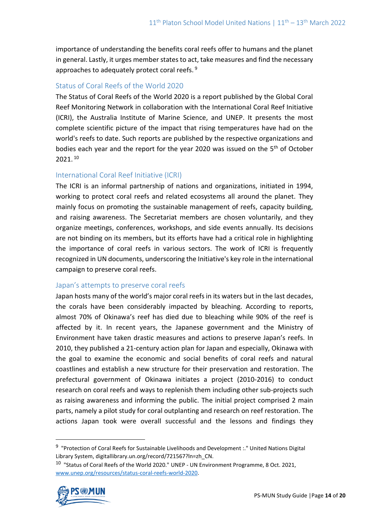importance of understanding the benefits coral reefs offer to humans and the planet in general. Lastly, it urges member states to act, take measures and find the necessary approaches to adequately protect coral reefs. 9

## Status of Coral Reefs of the World 2020

The Status of Coral Reefs of the World 2020 is a report published by the Global Coral Reef Monitoring Network in collaboration with the International Coral Reef Initiative (ICRI), the Australia Institute of Marine Science, and UNEP. It presents the most complete scientific picture of the impact that rising temperatures have had on the world's reefs to date. Such reports are published by the respective organizations and bodies each year and the report for the year 2020 was issued on the 5<sup>th</sup> of October 2021. <sup>10</sup>

## International Coral Reef Initiative (ICRI)

The ICRI is an informal partnership of nations and organizations, initiated in 1994, working to protect coral reefs and related ecosystems all around the planet. They mainly focus on promoting the sustainable management of reefs, capacity building, and raising awareness. The Secretariat members are chosen voluntarily, and they organize meetings, conferences, workshops, and side events annually. Its decisions are not binding on its members, but its efforts have had a critical role in highlighting the importance of coral reefs in various sectors. The work of ICRI is frequently recognized in UN documents, underscoring the Initiative's key role in the international campaign to preserve coral reefs.

#### Japan's attempts to preserve coral reefs

Japan hosts many of the world's major coral reefs in its waters but in the last decades, the corals have been considerably impacted by bleaching. According to reports, almost 70% of Okinawa's reef has died due to bleaching while 90% of the reef is affected by it. In recent years, the Japanese government and the Ministry of Environment have taken drastic measures and actions to preserve Japan's reefs. In 2010, they published a 21-century action plan for Japan and especially, Okinawa with the goal to examine the economic and social benefits of coral reefs and natural coastlines and establish a new structure for their preservation and restoration. The prefectural government of Okinawa initiates a project (2010-2016) to conduct research on coral reefs and ways to replenish them including other sub-projects such as raising awareness and informing the public. The initial project comprised 2 main parts, namely a pilot study for coral outplanting and research on reef restoration. The actions Japan took were overall successful and the lessons and findings they

<sup>&</sup>lt;sup>10</sup> "Status of Coral Reefs of the World 2020." UNEP - UN Environment Programme, 8 Oct. 2021, [www.unep.org/resources/status-coral-reefs-world-2020.](http://www.unep.org/resources/status-coral-reefs-world-2020)



<sup>&</sup>lt;sup>9</sup> "Protection of Coral Reefs for Sustainable Livelihoods and Development :." United Nations Digital Library System, digitallibrary.un.org/record/721567?ln=zh\_CN.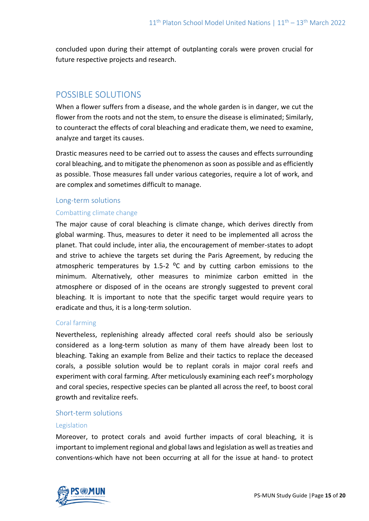concluded upon during their attempt of outplanting corals were proven crucial for future respective projects and research.

# POSSIBLE SOLUTIONS

When a flower suffers from a disease, and the whole garden is in danger, we cut the flower from the roots and not the stem, to ensure the disease is eliminated; Similarly, to counteract the effects of coral bleaching and eradicate them, we need to examine, analyze and target its causes.

Drastic measures need to be carried out to assess the causes and effects surrounding coral bleaching, and to mitigate the phenomenon as soon as possible and as efficiently as possible. Those measures fall under various categories, require a lot of work, and are complex and sometimes difficult to manage.

## Long-term solutions Combatting climate change

The major cause of coral bleaching is climate change, which derives directly from global warming. Thus, measures to deter it need to be implemented all across the planet. That could include, inter alia, the encouragement of member-states to adopt and strive to achieve the targets set during the Paris Agreement, by reducing the atmospheric temperatures by 1.5-2  $^{\circ}$ C and by cutting carbon emissions to the minimum. Alternatively, other measures to minimize carbon emitted in the atmosphere or disposed of in the oceans are strongly suggested to prevent coral bleaching. It is important to note that the specific target would require years to eradicate and thus, it is a long-term solution.

## Coral farming

Nevertheless, replenishing already affected coral reefs should also be seriously considered as a long-term solution as many of them have already been lost to bleaching. Taking an example from Belize and their tactics to replace the deceased corals, a possible solution would be to replant corals in major coral reefs and experiment with coral farming. After meticulously examining each reef's morphology and coral species, respective species can be planted all across the reef, to boost coral growth and revitalize reefs.

## Short-term solutions

#### Legislation

Moreover, to protect corals and avoid further impacts of coral bleaching, it is important to implement regional and global laws and legislation as well as treaties and conventions-which have not been occurring at all for the issue at hand- to protect

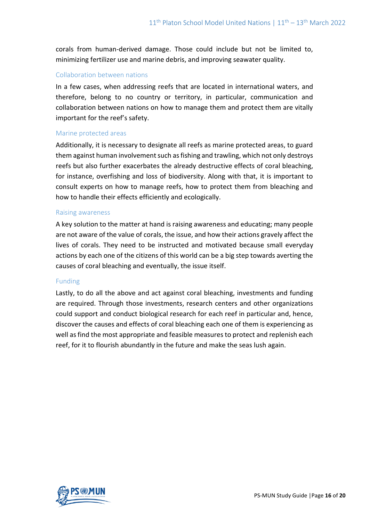corals from human-derived damage. Those could include but not be limited to, minimizing fertilizer use and marine debris, and improving seawater quality.

#### Collaboration between nations

In a few cases, when addressing reefs that are located in international waters, and therefore, belong to no country or territory, in particular, communication and collaboration between nations on how to manage them and protect them are vitally important for the reef's safety.

#### Marine protected areas

Additionally, it is necessary to designate all reefs as marine protected areas, to guard them against human involvement such as fishing and trawling, which not only destroys reefs but also further exacerbates the already destructive effects of coral bleaching, for instance, overfishing and loss of biodiversity. Along with that, it is important to consult experts on how to manage reefs, how to protect them from bleaching and how to handle their effects efficiently and ecologically.

#### Raising awareness

A key solution to the matter at hand is raising awareness and educating; many people are not aware of the value of corals, the issue, and how their actions gravely affect the lives of corals. They need to be instructed and motivated because small everyday actions by each one of the citizens of this world can be a big step towards averting the causes of coral bleaching and eventually, the issue itself.

#### Funding

Lastly, to do all the above and act against coral bleaching, investments and funding are required. Through those investments, research centers and other organizations could support and conduct biological research for each reef in particular and, hence, discover the causes and effects of coral bleaching each one of them is experiencing as well as find the most appropriate and feasible measures to protect and replenish each reef, for it to flourish abundantly in the future and make the seas lush again.

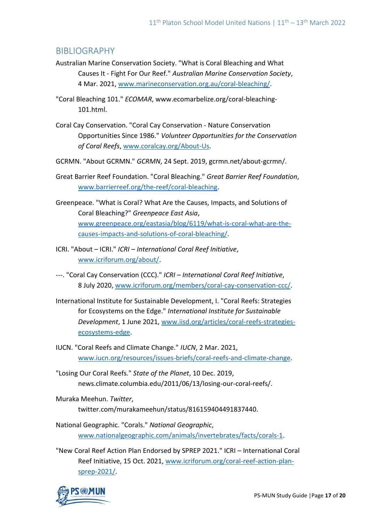# BIBLIOGRAPHY

- Australian Marine Conservation Society. "What is Coral Bleaching and What Causes It - Fight For Our Reef." *Australian Marine Conservation Society*, 4 Mar. 2021, [www.marineconservation.org.au/coral-bleaching/.](http://www.marineconservation.org.au/coral-bleaching/)
- "Coral Bleaching 101." *ECOMAR*, www.ecomarbelize.org/coral-bleaching-101.html.
- Coral Cay Conservation. "Coral Cay Conservation Nature Conservation Opportunities Since 1986." *Volunteer Opportunities for the Conservation of Coral Reefs*[, www.coralcay.org/About-Us.](http://www.coralcay.org/About-Us)
- GCRMN. "About GCRMN." *GCRMN*, 24 Sept. 2019, gcrmn.net/about-gcrmn/.
- Great Barrier Reef Foundation. "Coral Bleaching." *Great Barrier Reef Foundation*, [www.barrierreef.org/the-reef/coral-bleaching.](http://www.barrierreef.org/the-reef/coral-bleaching)
- Greenpeace. "What is Coral? What Are the Causes, Impacts, and Solutions of Coral Bleaching?" *Greenpeace East Asia*, [www.greenpeace.org/eastasia/blog/6119/what-is-coral-what-are-the](http://www.greenpeace.org/eastasia/blog/6119/what-is-coral-what-are-the-causes-impacts-and-solutions-of-coral-bleaching/)[causes-impacts-and-solutions-of-coral-bleaching/.](http://www.greenpeace.org/eastasia/blog/6119/what-is-coral-what-are-the-causes-impacts-and-solutions-of-coral-bleaching/)
- ICRI. "About ICRI." *ICRI – International Coral Reef Initiative*, [www.icriforum.org/about/.](http://www.icriforum.org/about/)
- ---. "Coral Cay Conservation (CCC)." *ICRI – International Coral Reef Initiative*, 8 July 2020, [www.icriforum.org/members/coral-cay-conservation-ccc/.](http://www.icriforum.org/members/coral-cay-conservation-ccc/)
- International Institute for Sustainable Development, I. "Coral Reefs: Strategies for Ecosystems on the Edge." *International Institute for Sustainable Development*, 1 June 2021, [www.iisd.org/articles/coral-reefs-strategies](http://www.iisd.org/articles/coral-reefs-strategies-ecosystems-edge)[ecosystems-edge.](http://www.iisd.org/articles/coral-reefs-strategies-ecosystems-edge)
- IUCN. "Coral Reefs and Climate Change." *IUCN*, 2 Mar. 2021, [www.iucn.org/resources/issues-briefs/coral-reefs-and-climate-change.](http://www.iucn.org/resources/issues-briefs/coral-reefs-and-climate-change)
- "Losing Our Coral Reefs." *State of the Planet*, 10 Dec. 2019, news.climate.columbia.edu/2011/06/13/losing-our-coral-reefs/.
- Muraka Meehun. *Twitter*, twitter.com/murakameehun/status/816159404491837440.
- National Geographic. "Corals." *National Geographic*, [www.nationalgeographic.com/animals/invertebrates/facts/corals-1.](http://www.nationalgeographic.com/animals/invertebrates/facts/corals-1)
- "New Coral Reef Action Plan Endorsed by SPREP 2021." ICRI International Coral Reef Initiative, 15 Oct. 2021, [www.icriforum.org/coral-reef-action-plan](http://www.icriforum.org/coral-reef-action-plan-sprep-2021/)[sprep-2021/.](http://www.icriforum.org/coral-reef-action-plan-sprep-2021/)

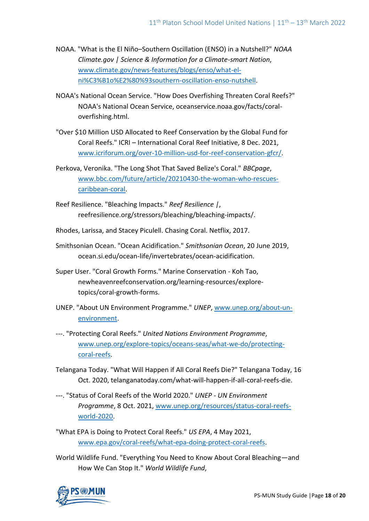- NOAA. "What is the El Niño–Southern Oscillation (ENSO) in a Nutshell?" *NOAA Climate.gov | Science & Information for a Climate-smart Nation*, [www.climate.gov/news-features/blogs/enso/what-el](http://www.climate.gov/news-features/blogs/enso/what-el-ni%C3%B1o%E2%80%93southern-oscillation-enso-nutshell)[ni%C3%B1o%E2%80%93southern-oscillation-enso-nutshell.](http://www.climate.gov/news-features/blogs/enso/what-el-ni%C3%B1o%E2%80%93southern-oscillation-enso-nutshell)
- NOAA's National Ocean Service. "How Does Overfishing Threaten Coral Reefs?" NOAA's National Ocean Service, oceanservice.noaa.gov/facts/coraloverfishing.html.
- "Over \$10 Million USD Allocated to Reef Conservation by the Global Fund for Coral Reefs." ICRI – International Coral Reef Initiative, 8 Dec. 2021, [www.icriforum.org/over-10-million-usd-for-reef-conservation-gfcr/.](http://www.icriforum.org/over-10-million-usd-for-reef-conservation-gfcr/)
- Perkova, Veronika. "The Long Shot That Saved Belize's Coral." *BBCpage*, [www.bbc.com/future/article/20210430-the-woman-who-rescues](http://www.bbc.com/future/article/20210430-the-woman-who-rescues-caribbean-coral)[caribbean-coral.](http://www.bbc.com/future/article/20210430-the-woman-who-rescues-caribbean-coral)
- Reef Resilience. "Bleaching Impacts." *Reef Resilience |*, reefresilience.org/stressors/bleaching/bleaching-impacts/.
- Rhodes, Larissa, and Stacey Piculell. Chasing Coral. Netflix, 2017.
- Smithsonian Ocean. "Ocean Acidification." *Smithsonian Ocean*, 20 June 2019, ocean.si.edu/ocean-life/invertebrates/ocean-acidification.
- Super User. "Coral Growth Forms." Marine Conservation Koh Tao, newheavenreefconservation.org/learning-resources/exploretopics/coral-growth-forms.
- UNEP. "About UN Environment Programme." *UNEP*, [www.unep.org/about-un](http://www.unep.org/about-un-environment)[environment.](http://www.unep.org/about-un-environment)
- ---. "Protecting Coral Reefs." *United Nations Environment Programme*, [www.unep.org/explore-topics/oceans-seas/what-we-do/protecting](http://www.unep.org/explore-topics/oceans-seas/what-we-do/protecting-coral-reefs)[coral-reefs.](http://www.unep.org/explore-topics/oceans-seas/what-we-do/protecting-coral-reefs)
- Telangana Today. "What Will Happen if All Coral Reefs Die?" Telangana Today, 16 Oct. 2020, telanganatoday.com/what-will-happen-if-all-coral-reefs-die.
- ---. "Status of Coral Reefs of the World 2020." *UNEP - UN Environment Programme*, 8 Oct. 2021, [www.unep.org/resources/status-coral-reefs](http://www.unep.org/resources/status-coral-reefs-world-2020)[world-2020.](http://www.unep.org/resources/status-coral-reefs-world-2020)

"What EPA is Doing to Protect Coral Reefs." *US EPA*, 4 May 2021, [www.epa.gov/coral-reefs/what-epa-doing-protect-coral-reefs.](http://www.epa.gov/coral-reefs/what-epa-doing-protect-coral-reefs)

World Wildlife Fund. "Everything You Need to Know About Coral Bleaching—and How We Can Stop It." *World Wildlife Fund*,

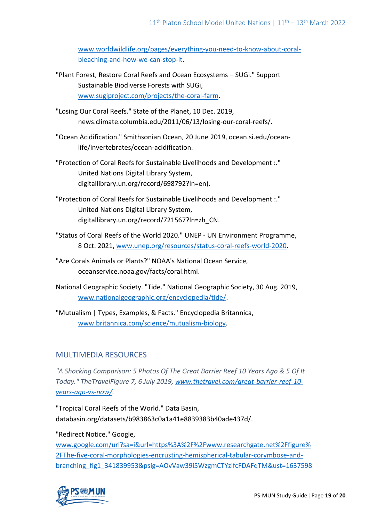[www.worldwildlife.org/pages/everything-you-need-to-know-about-coral](http://www.worldwildlife.org/pages/everything-you-need-to-know-about-coral-bleaching-and-how-we-can-stop-it)[bleaching-and-how-we-can-stop-it.](http://www.worldwildlife.org/pages/everything-you-need-to-know-about-coral-bleaching-and-how-we-can-stop-it)

- "Plant Forest, Restore Coral Reefs and Ocean Ecosystems SUGi." Support Sustainable Biodiverse Forests with SUGi, [www.sugiproject.com/projects/the-coral-farm.](http://www.sugiproject.com/projects/the-coral-farm)
- "Losing Our Coral Reefs." State of the Planet, 10 Dec. 2019, news.climate.columbia.edu/2011/06/13/losing-our-coral-reefs/.
- "Ocean Acidification." Smithsonian Ocean, 20 June 2019, ocean.si.edu/oceanlife/invertebrates/ocean-acidification.
- "Protection of Coral Reefs for Sustainable Livelihoods and Development :." United Nations Digital Library System, digitallibrary.un.org/record/698792?ln=en).
- "Protection of Coral Reefs for Sustainable Livelihoods and Development :." United Nations Digital Library System, digitallibrary.un.org/record/721567?ln=zh\_CN.
- "Status of Coral Reefs of the World 2020." UNEP UN Environment Programme, 8 Oct. 2021[, www.unep.org/resources/status-coral-reefs-world-2020.](http://www.unep.org/resources/status-coral-reefs-world-2020)
- "Are Corals Animals or Plants?" NOAA's National Ocean Service, oceanservice.noaa.gov/facts/coral.html.
- National Geographic Society. "Tide." National Geographic Society, 30 Aug. 2019, [www.nationalgeographic.org/encyclopedia/tide/.](http://www.nationalgeographic.org/encyclopedia/tide/)

"Mutualism | Types, Examples, & Facts." Encyclopedia Britannica, [www.britannica.com/science/mutualism-biology.](http://www.britannica.com/science/mutualism-biology)

## MULTIMEDIA RESOURCES

*"A Shocking Comparison: 5 Photos Of The Great Barrier Reef 10 Years Ago & 5 Of It Today." TheTravelFigure 7, 6 July 2019[, www.thetravel.com/great-barrier-reef-10](http://www.thetravel.com/great-barrier-reef-10-years-ago-vs-now/) [years-ago-vs-now/.](http://www.thetravel.com/great-barrier-reef-10-years-ago-vs-now/)*

"Tropical Coral Reefs of the World." Data Basin, databasin.org/datasets/b983863c0a1a41e8839383b40ade437d/.

"Redirect Notice." Google,

[www.google.com/url?sa=i&url=https%3A%2F%2Fwww.researchgate.net%2Ffigure%](http://www.google.com/url?sa=i&url=https%3A%2F%2Fwww.researchgate.net%2Ffigure%2FThe-five-coral-morphologies-encrusting-hemispherical-tabular-corymbose-and-branching_fig1_341839953&psig=AOvVaw39i5WzgmCTYzifcFDAFqTM&ust=1637598700239000&source=images&cd=vfe&ved=0CAwQjhxqFwoTCJjbztnwqfQCFQAAAAAdAAAAABAD) [2FThe-five-coral-morphologies-encrusting-hemispherical-tabular-corymbose-and](http://www.google.com/url?sa=i&url=https%3A%2F%2Fwww.researchgate.net%2Ffigure%2FThe-five-coral-morphologies-encrusting-hemispherical-tabular-corymbose-and-branching_fig1_341839953&psig=AOvVaw39i5WzgmCTYzifcFDAFqTM&ust=1637598700239000&source=images&cd=vfe&ved=0CAwQjhxqFwoTCJjbztnwqfQCFQAAAAAdAAAAABAD)[branching\\_fig1\\_341839953&psig=AOvVaw39i5WzgmCTYzifcFDAFqTM&ust=1637598](http://www.google.com/url?sa=i&url=https%3A%2F%2Fwww.researchgate.net%2Ffigure%2FThe-five-coral-morphologies-encrusting-hemispherical-tabular-corymbose-and-branching_fig1_341839953&psig=AOvVaw39i5WzgmCTYzifcFDAFqTM&ust=1637598700239000&source=images&cd=vfe&ved=0CAwQjhxqFwoTCJjbztnwqfQCFQAAAAAdAAAAABAD)